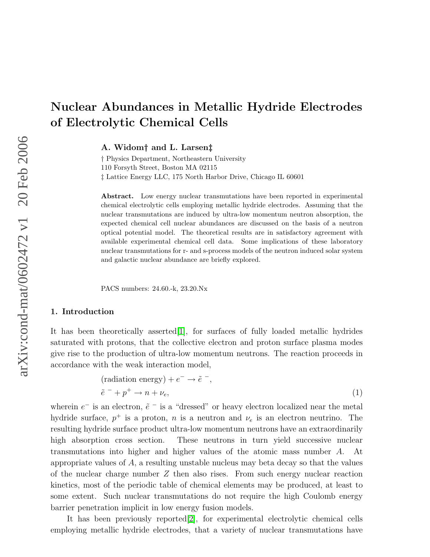# Nuclear Abundances in Metallic Hydride Electrodes of Electrolytic Chemical Cells

A. Widom† and L. Larsen‡

† Physics Department, Northeastern University 110 Forsyth Street, Boston MA 02115 ‡ Lattice Energy LLC, 175 North Harbor Drive, Chicago IL 60601

Abstract. Low energy nuclear transmutations have been reported in experimental chemical electrolytic cells employing metallic hydride electrodes. Assuming that the nuclear transmutations are induced by ultra-low momentum neutron absorption, the expected chemical cell nuclear abundances are discussed on the basis of a neutron optical potential model. The theoretical results are in satisfactory agreement with available experimental chemical cell data. Some implications of these laboratory nuclear transmutations for r- and s-process models of the neutron induced solar system and galactic nuclear abundance are briefly explored.

PACS numbers: 24.60.-k, 23.20.Nx

#### 1. Introduction

It has been theoretically asserted[\[1\]](#page-5-0), for surfaces of fully loaded metallic hydrides saturated with protons, that the collective electron and proton surface plasma modes give rise to the production of ultra-low momentum neutrons. The reaction proceeds in accordance with the weak interaction model,

$$
\begin{aligned} \text{(radiation energy)} + e^- &\rightarrow \tilde{e}^-, \\ \tilde{e}^- + p^+ &\rightarrow n + \nu_e, \end{aligned} \tag{1}
$$

wherein  $e^-$  is an electron,  $\tilde{e}$  = is a "dressed" or heavy electron localized near the metal hydride surface,  $p^+$  is a proton, n is a neutron and  $\nu_e$  is an electron neutrino. The resulting hydride surface product ultra-low momentum neutrons have an extraordinarily high absorption cross section. These neutrons in turn yield successive nuclear transmutations into higher and higher values of the atomic mass number A. At appropriate values of A, a resulting unstable nucleus may beta decay so that the values of the nuclear charge number  $Z$  then also rises. From such energy nuclear reaction kinetics, most of the periodic table of chemical elements may be produced, at least to some extent. Such nuclear transmutations do not require the high Coulomb energy barrier penetration implicit in low energy fusion models.

It has been previously reported[\[2\]](#page-5-1), for experimental electrolytic chemical cells employing metallic hydride electrodes, that a variety of nuclear transmutations have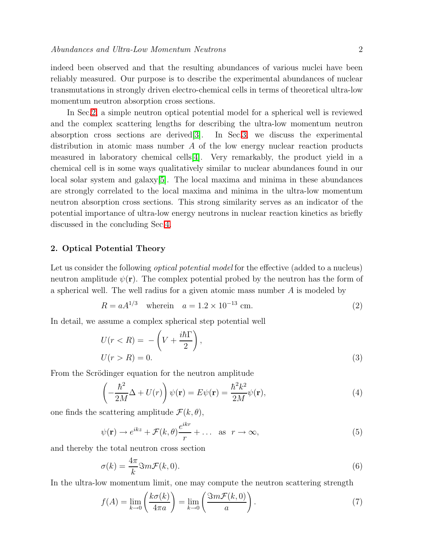indeed been observed and that the resulting abundances of various nuclei have been reliably measured. Our purpose is to describe the experimental abundances of nuclear transmutations in strongly driven electro-chemical cells in terms of theoretical ultra-low momentum neutron absorption cross sections.

In Sec[.2,](#page-1-0) a simple neutron optical potential model for a spherical well is reviewed and the complex scattering lengths for describing the ultra-low momentum neutron absorption cross sections are derived[\[3\]](#page-5-2). In Sec[.3,](#page-2-0) we discuss the experimental distribution in atomic mass number A of the low energy nuclear reaction products measured in laboratory chemical cells[\[4\]](#page-5-3). Very remarkably, the product yield in a chemical cell is in some ways qualitatively similar to nuclear abundances found in our local solar system and galaxy[\[5\]](#page-5-4). The local maxima and minima in these abundances are strongly correlated to the local maxima and minima in the ultra-low momentum neutron absorption cross sections. This strong similarity serves as an indicator of the potential importance of ultra-low energy neutrons in nuclear reaction kinetics as briefly discussed in the concluding Sec[.4.](#page-4-0)

### <span id="page-1-0"></span>2. Optical Potential Theory

<span id="page-1-2"></span>Let us consider the following *optical potential model* for the effective (added to a nucleus) neutron amplitude  $\psi(\mathbf{r})$ . The complex potential probed by the neutron has the form of a spherical well. The well radius for a given atomic mass number A is modeled by

$$
R = aA^{1/3}
$$
 wherein  $a = 1.2 \times 10^{-13}$  cm. (2)

In detail, we assume a complex spherical step potential well

$$
U(r < R) = -\left(V + \frac{i\hbar\Gamma}{2}\right),
$$
  
 
$$
U(r > R) = 0.
$$
 (3)

From the Scrödinger equation for the neutron amplitude

$$
\left(-\frac{\hbar^2}{2M}\Delta + U(r)\right)\psi(\mathbf{r}) = E\psi(\mathbf{r}) = \frac{\hbar^2 k^2}{2M}\psi(\mathbf{r}),\tag{4}
$$

one finds the scattering amplitude  $\mathcal{F}(k, \theta)$ ,

$$
\psi(\mathbf{r}) \to e^{ikz} + \mathcal{F}(k,\theta)\frac{e^{ikr}}{r} + \dots \text{ as } r \to \infty,
$$
\n(5)

and thereby the total neutron cross section

$$
\sigma(k) = \frac{4\pi}{k} \Im m \mathcal{F}(k, 0). \tag{6}
$$

<span id="page-1-1"></span>In the ultra-low momentum limit, one may compute the neutron scattering strength

$$
f(A) = \lim_{k \to 0} \left( \frac{k \sigma(k)}{4 \pi a} \right) = \lim_{k \to 0} \left( \frac{\Im m \mathcal{F}(k, 0)}{a} \right). \tag{7}
$$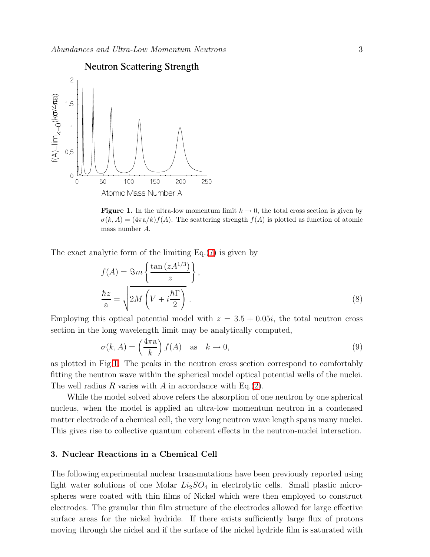

<span id="page-2-1"></span>**Figure 1.** In the ultra-low momentum limit  $k \to 0$ , the total cross section is given by  $\sigma(k, A) = (4\pi a/k)f(A)$ . The scattering strength  $f(A)$  is plotted as function of atomic mass number A.

The exact analytic form of the limiting Eq.[\(7\)](#page-1-1) is given by

$$
f(A) = \Im m \left\{ \frac{\tan (zA^{1/3})}{z} \right\},\,
$$
  

$$
\frac{\hbar z}{a} = \sqrt{2M \left(V + i\frac{\hbar \Gamma}{2}\right)}.
$$
 (8)

Employing this optical potential model with  $z = 3.5 + 0.05i$ , the total neutron cross section in the long wavelength limit may be analytically computed,

$$
\sigma(k, A) = \left(\frac{4\pi a}{k}\right) f(A) \quad \text{as} \quad k \to 0,
$$
\n(9)

as plotted in Fig[.1.](#page-2-1) The peaks in the neutron cross section correspond to comfortably fitting the neutron wave within the spherical model optical potential wells of the nuclei. The well radius R varies with A in accordance with Eq.[\(2\)](#page-1-2).

While the model solved above refers the absorption of one neutron by one spherical nucleus, when the model is applied an ultra-low momentum neutron in a condensed matter electrode of a chemical cell, the very long neutron wave length spans many nuclei. This gives rise to collective quantum coherent effects in the neutron-nuclei interaction.

# <span id="page-2-0"></span>3. Nuclear Reactions in a Chemical Cell

The following experimental nuclear transmutations have been previously reported using light water solutions of one Molar  $Li_2SO_4$  in electrolytic cells. Small plastic microspheres were coated with thin films of Nickel which were then employed to construct electrodes. The granular thin film structure of the electrodes allowed for large effective surface areas for the nickel hydride. If there exists sufficiently large flux of protons moving through the nickel and if the surface of the nickel hydride film is saturated with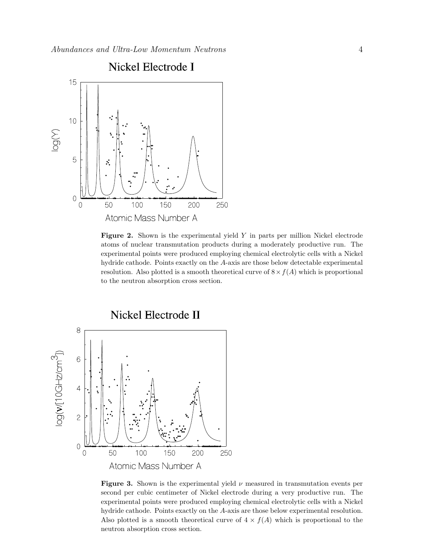

<span id="page-3-0"></span>Figure 2. Shown is the experimental yield  $Y$  in parts per million Nickel electrode atoms of nuclear transmutation products during a moderately productive run. The experimental points were produced employing chemical electrolytic cells with a Nickel hydride cathode. Points exactly on the A-axis are those below detectable experimental resolution. Also plotted is a smooth theoretical curve of  $8 \times f(A)$  which is proportional to the neutron absorption cross section.



<span id="page-3-1"></span>**Figure 3.** Shown is the experimental yield  $\nu$  measured in transmutation events per second per cubic centimeter of Nickel electrode during a very productive run. The experimental points were produced employing chemical electrolytic cells with a Nickel hydride cathode. Points exactly on the A-axis are those below experimental resolution. Also plotted is a smooth theoretical curve of  $4 \times f(A)$  which is proportional to the neutron absorption cross section.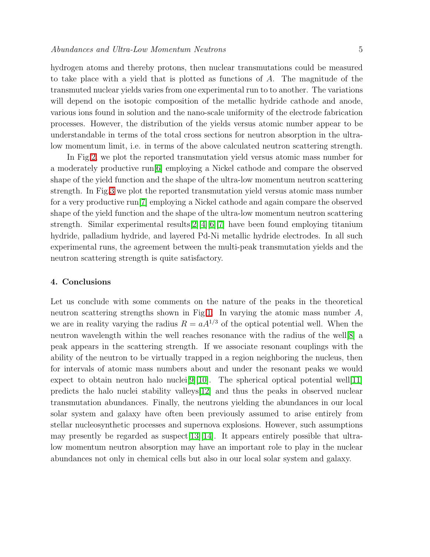hydrogen atoms and thereby protons, then nuclear transmutations could be measured to take place with a yield that is plotted as functions of A. The magnitude of the transmuted nuclear yields varies from one experimental run to to another. The variations will depend on the isotopic composition of the metallic hydride cathode and anode, various ions found in solution and the nano-scale uniformity of the electrode fabrication processes. However, the distribution of the yields versus atomic number appear to be understandable in terms of the total cross sections for neutron absorption in the ultralow momentum limit, i.e. in terms of the above calculated neutron scattering strength.

In Fig[.2,](#page-3-0) we plot the reported transmutation yield versus atomic mass number for a moderately productive run[\[6\]](#page-5-5) employing a Nickel cathode and compare the observed shape of the yield function and the shape of the ultra-low momentum neutron scattering strength. In Fig[.3](#page-3-1) we plot the reported transmutation yield versus atomic mass number for a very productive run[\[7\]](#page-5-6) employing a Nickel cathode and again compare the observed shape of the yield function and the shape of the ultra-low momentum neutron scattering strength. Similar experimental results[\[2\]](#page-5-1)[\[4\]](#page-5-3)[\[6\]](#page-5-5)[\[7\]](#page-5-6) have been found employing titanium hydride, palladium hydride, and layered Pd-Ni metallic hydride electrodes. In all such experimental runs, the agreement between the multi-peak transmutation yields and the neutron scattering strength is quite satisfactory.

# <span id="page-4-0"></span>4. Conclusions

Let us conclude with some comments on the nature of the peaks in the theoretical neutron scattering strengths shown in Fig[.1.](#page-2-1) In varying the atomic mass number A, we are in reality varying the radius  $R = aA^{1/3}$  of the optical potential well. When the neutron wavelength within the well reaches resonance with the radius of the well[\[8\]](#page-5-7) a peak appears in the scattering strength. If we associate resonant couplings with the ability of the neutron to be virtually trapped in a region neighboring the nucleus, then for intervals of atomic mass numbers about and under the resonant peaks we would expect to obtain neutron halo nuclei<sup>[\[9\]](#page-5-8)</sup>[\[10\]](#page-5-9). The spherical optical potential well<sup>[\[11\]](#page-5-10)</sup> predicts the halo nuclei stability valleys[\[12\]](#page-5-11) and thus the peaks in observed nuclear transmutation abundances. Finally, the neutrons yielding the abundances in our local solar system and galaxy have often been previously assumed to arise entirely from stellar nucleosynthetic processes and supernova explosions. However, such assumptions may presently be regarded as suspect [\[13\]](#page-5-12) [\[14\]](#page-5-13). It appears entirely possible that ultralow momentum neutron absorption may have an important role to play in the nuclear abundances not only in chemical cells but also in our local solar system and galaxy.